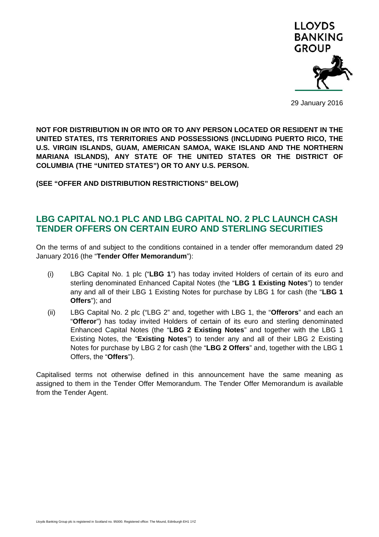

29 January 2016

**NOT FOR DISTRIBUTION IN OR INTO OR TO ANY PERSON LOCATED OR RESIDENT IN THE UNITED STATES, ITS TERRITORIES AND POSSESSIONS (INCLUDING PUERTO RICO, THE U.S. VIRGIN ISLANDS, GUAM, AMERICAN SAMOA, WAKE ISLAND AND THE NORTHERN MARIANA ISLANDS), ANY STATE OF THE UNITED STATES OR THE DISTRICT OF COLUMBIA (THE "UNITED STATES") OR TO ANY U.S. PERSON.** 

**(SEE "OFFER AND DISTRIBUTION RESTRICTIONS" BELOW)** 

# **LBG CAPITAL NO.1 PLC AND LBG CAPITAL NO. 2 PLC LAUNCH CASH TENDER OFFERS ON CERTAIN EURO AND STERLING SECURITIES**

On the terms of and subject to the conditions contained in a tender offer memorandum dated 29 January 2016 (the "**Tender Offer Memorandum**"):

- (i) LBG Capital No. 1 plc ("**LBG 1**") has today invited Holders of certain of its euro and sterling denominated Enhanced Capital Notes (the "**LBG 1 Existing Notes**") to tender any and all of their LBG 1 Existing Notes for purchase by LBG 1 for cash (the "**LBG 1 Offers**"); and
- (ii) LBG Capital No. 2 plc ("LBG 2" and, together with LBG 1, the "**Offerors**" and each an "**Offeror**") has today invited Holders of certain of its euro and sterling denominated Enhanced Capital Notes (the "**LBG 2 Existing Notes**" and together with the LBG 1 Existing Notes, the "**Existing Notes**") to tender any and all of their LBG 2 Existing Notes for purchase by LBG 2 for cash (the "**LBG 2 Offers**" and, together with the LBG 1 Offers, the "**Offers**").

Capitalised terms not otherwise defined in this announcement have the same meaning as assigned to them in the Tender Offer Memorandum. The Tender Offer Memorandum is available from the Tender Agent.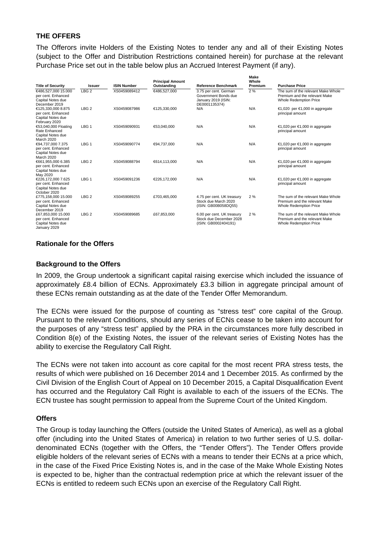# **THE OFFERS**

The Offerors invite Holders of the Existing Notes to tender any and all of their Existing Notes (subject to the Offer and Distribution Restrictions contained herein) for purchase at the relevant Purchase Price set out in the table below plus an Accrued Interest Payment (if any).

| <b>Title of Security</b>                                                        | Issuer           | <b>ISIN Number</b> | <b>Principal Amount</b><br>Outstanding | <b>Reference Benchmark</b>                                                            | Make<br>Whole<br>Premium | <b>Purchase Price</b>                                                                                |
|---------------------------------------------------------------------------------|------------------|--------------------|----------------------------------------|---------------------------------------------------------------------------------------|--------------------------|------------------------------------------------------------------------------------------------------|
| €486,527,000 15.000<br>per cent. Enhanced<br>Capital Notes due<br>December 2019 | LBG <sub>2</sub> | XS0459089412       | €486,527,000                           | 3.75 per cent. German<br>Government Bonds due<br>January 2019 (ISIN:<br>DE0001135374) | 2%                       | The sum of the relevant Make Whole<br>Premium and the relevant Make<br><b>Whole Redemption Price</b> |
| €125,330,000 8.875<br>per cent. Enhanced<br>Capital Notes due<br>February 2020  | LBG <sub>2</sub> | XS0459087986       | €125,330,000                           | N/A                                                                                   | N/A                      | €1,020 per €1,000 in aggregate<br>principal amount                                                   |
| €53,040,000 Floating<br>Rate Enhanced<br>Capital Notes due<br><b>March 2020</b> | LBG <sub>1</sub> | XS0459090931       | €53.040.000                            | N/A                                                                                   | N/A                      | €1,020 per €1,000 in aggregate<br>principal amount                                                   |
| €94.737.000 7.375<br>per cent. Enhanced<br>Capital Notes due<br>March 2020      | LBG <sub>1</sub> | XS0459090774       | €94.737.000                            | N/A                                                                                   | N/A                      | €1,020 per €1,000 in aggregate<br>principal amount                                                   |
| €661.955.000 6.385<br>per cent. Enhanced<br>Capital Notes due<br>May 2020       | LBG <sub>2</sub> | XS0459088794       | €614.113.000                           | N/A                                                                                   | N/A                      | €1,020 per €1,000 in aggregate<br>principal amount                                                   |
| €226.172.000 7.625<br>per cent. Enhanced<br>Capital Notes due<br>October 2020   | LBG <sub>1</sub> | XS0459091236       | €226.172.000                           | N/A                                                                                   | N/A                      | €1,020 per €1,000 in aggregate<br>principal amount                                                   |
| £775,158,000 15.000<br>per cent. Enhanced<br>Capital Notes due<br>December 2019 | LBG <sub>2</sub> | XS0459089255       | £703,465,000                           | 4.75 per cent. UK treasury<br>Stock due March 2020<br>(ISIN: GB00B058DQ55)            | 2%                       | The sum of the relevant Make Whole<br>Premium and the relevant Make<br><b>Whole Redemption Price</b> |
| £67.853.000 15.000<br>per cent. Enhanced<br>Capital Notes due<br>January 2029   | LBG <sub>2</sub> | XS0459089685       | £67,853,000                            | 6.00 per cent. UK treasury<br>Stock due December 2028<br>(ISIN: GB0002404191)         | 2%                       | The sum of the relevant Make Whole<br>Premium and the relevant Make<br>Whole Redemption Price        |

# **Rationale for the Offers**

# **Background to the Offers**

In 2009, the Group undertook a significant capital raising exercise which included the issuance of approximately £8.4 billion of ECNs. Approximately £3.3 billion in aggregate principal amount of these ECNs remain outstanding as at the date of the Tender Offer Memorandum.

The ECNs were issued for the purpose of counting as "stress test" core capital of the Group. Pursuant to the relevant Conditions, should any series of ECNs cease to be taken into account for the purposes of any "stress test" applied by the PRA in the circumstances more fully described in Condition 8(e) of the Existing Notes, the issuer of the relevant series of Existing Notes has the ability to exercise the Regulatory Call Right.

The ECNs were not taken into account as core capital for the most recent PRA stress tests, the results of which were published on 16 December 2014 and 1 December 2015. As confirmed by the Civil Division of the English Court of Appeal on 10 December 2015, a Capital Disqualification Event has occurred and the Regulatory Call Right is available to each of the issuers of the ECNs. The ECN trustee has sought permission to appeal from the Supreme Court of the United Kingdom.

# **Offers**

The Group is today launching the Offers (outside the United States of America), as well as a global offer (including into the United States of America) in relation to two further series of U.S. dollardenominated ECNs (together with the Offers, the "Tender Offers"). The Tender Offers provide eligible holders of the relevant series of ECNs with a means to tender their ECNs at a price which, in the case of the Fixed Price Existing Notes is, and in the case of the Make Whole Existing Notes is expected to be, higher than the contractual redemption price at which the relevant issuer of the ECNs is entitled to redeem such ECNs upon an exercise of the Regulatory Call Right.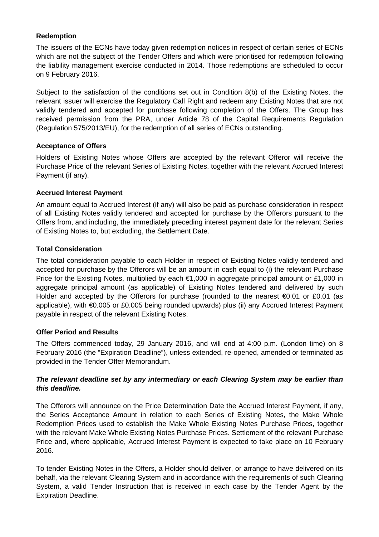# **Redemption**

The issuers of the ECNs have today given redemption notices in respect of certain series of ECNs which are not the subject of the Tender Offers and which were prioritised for redemption following the liability management exercise conducted in 2014. Those redemptions are scheduled to occur on 9 February 2016.

Subject to the satisfaction of the conditions set out in Condition 8(b) of the Existing Notes, the relevant issuer will exercise the Regulatory Call Right and redeem any Existing Notes that are not validly tendered and accepted for purchase following completion of the Offers. The Group has received permission from the PRA, under Article 78 of the Capital Requirements Regulation (Regulation 575/2013/EU), for the redemption of all series of ECNs outstanding.

# **Acceptance of Offers**

Holders of Existing Notes whose Offers are accepted by the relevant Offeror will receive the Purchase Price of the relevant Series of Existing Notes, together with the relevant Accrued Interest Payment (if any).

# **Accrued Interest Payment**

An amount equal to Accrued Interest (if any) will also be paid as purchase consideration in respect of all Existing Notes validly tendered and accepted for purchase by the Offerors pursuant to the Offers from, and including, the immediately preceding interest payment date for the relevant Series of Existing Notes to, but excluding, the Settlement Date.

# **Total Consideration**

The total consideration payable to each Holder in respect of Existing Notes validly tendered and accepted for purchase by the Offerors will be an amount in cash equal to (i) the relevant Purchase Price for the Existing Notes, multiplied by each  $\epsilon$ 1,000 in aggregate principal amount or £1,000 in aggregate principal amount (as applicable) of Existing Notes tendered and delivered by such Holder and accepted by the Offerors for purchase (rounded to the nearest €0.01 or £0.01 (as applicable), with €0.005 or £0.005 being rounded upwards) plus (ii) any Accrued Interest Payment payable in respect of the relevant Existing Notes.

# **Offer Period and Results**

The Offers commenced today, 29 January 2016, and will end at 4:00 p.m. (London time) on 8 February 2016 (the "Expiration Deadline"), unless extended, re-opened, amended or terminated as provided in the Tender Offer Memorandum.

# *The relevant deadline set by any intermediary or each Clearing System may be earlier than this deadline.*

The Offerors will announce on the Price Determination Date the Accrued Interest Payment, if any, the Series Acceptance Amount in relation to each Series of Existing Notes, the Make Whole Redemption Prices used to establish the Make Whole Existing Notes Purchase Prices, together with the relevant Make Whole Existing Notes Purchase Prices. Settlement of the relevant Purchase Price and, where applicable, Accrued Interest Payment is expected to take place on 10 February 2016.

To tender Existing Notes in the Offers, a Holder should deliver, or arrange to have delivered on its behalf, via the relevant Clearing System and in accordance with the requirements of such Clearing System, a valid Tender Instruction that is received in each case by the Tender Agent by the Expiration Deadline.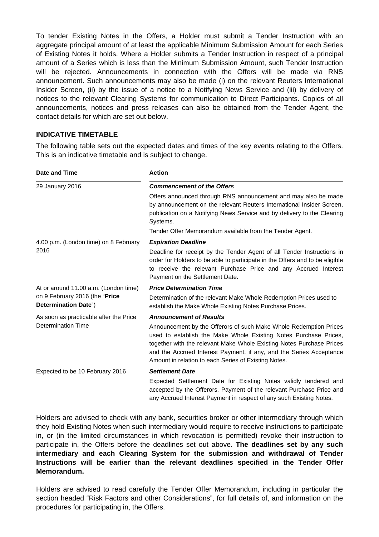To tender Existing Notes in the Offers, a Holder must submit a Tender Instruction with an aggregate principal amount of at least the applicable Minimum Submission Amount for each Series of Existing Notes it holds. Where a Holder submits a Tender Instruction in respect of a principal amount of a Series which is less than the Minimum Submission Amount, such Tender Instruction will be rejected. Announcements in connection with the Offers will be made via RNS announcement. Such announcements may also be made (i) on the relevant Reuters International Insider Screen, (ii) by the issue of a notice to a Notifying News Service and (iii) by delivery of notices to the relevant Clearing Systems for communication to Direct Participants. Copies of all announcements, notices and press releases can also be obtained from the Tender Agent, the contact details for which are set out below.

# **INDICATIVE TIMETABLE**

The following table sets out the expected dates and times of the key events relating to the Offers. This is an indicative timetable and is subject to change.

| Date and Time                                                 | <b>Action</b>                                                                                                                                                                                                                                                                                                                                |  |  |  |
|---------------------------------------------------------------|----------------------------------------------------------------------------------------------------------------------------------------------------------------------------------------------------------------------------------------------------------------------------------------------------------------------------------------------|--|--|--|
| 29 January 2016                                               | <b>Commencement of the Offers</b>                                                                                                                                                                                                                                                                                                            |  |  |  |
|                                                               | Offers announced through RNS announcement and may also be made<br>by announcement on the relevant Reuters International Insider Screen,<br>publication on a Notifying News Service and by delivery to the Clearing<br>Systems.                                                                                                               |  |  |  |
|                                                               | Tender Offer Memorandum available from the Tender Agent.                                                                                                                                                                                                                                                                                     |  |  |  |
| 4.00 p.m. (London time) on 8 February                         | <b>Expiration Deadline</b>                                                                                                                                                                                                                                                                                                                   |  |  |  |
| 2016                                                          | Deadline for receipt by the Tender Agent of all Tender Instructions in<br>order for Holders to be able to participate in the Offers and to be eligible<br>to receive the relevant Purchase Price and any Accrued Interest<br>Payment on the Settlement Date.                                                                                 |  |  |  |
| At or around 11.00 a.m. (London time)                         | <b>Price Determination Time</b>                                                                                                                                                                                                                                                                                                              |  |  |  |
| on 9 February 2016 (the "Price<br><b>Determination Date")</b> | Determination of the relevant Make Whole Redemption Prices used to<br>establish the Make Whole Existing Notes Purchase Prices.                                                                                                                                                                                                               |  |  |  |
| As soon as practicable after the Price                        | <b>Announcement of Results</b>                                                                                                                                                                                                                                                                                                               |  |  |  |
| <b>Determination Time</b>                                     | Announcement by the Offerors of such Make Whole Redemption Prices<br>used to establish the Make Whole Existing Notes Purchase Prices,<br>together with the relevant Make Whole Existing Notes Purchase Prices<br>and the Accrued Interest Payment, if any, and the Series Acceptance<br>Amount in relation to each Series of Existing Notes. |  |  |  |
| Expected to be 10 February 2016                               | <b>Settlement Date</b>                                                                                                                                                                                                                                                                                                                       |  |  |  |
|                                                               | Expected Settlement Date for Existing Notes validly tendered and<br>accepted by the Offerors. Payment of the relevant Purchase Price and<br>any Accrued Interest Payment in respect of any such Existing Notes.                                                                                                                              |  |  |  |

Holders are advised to check with any bank, securities broker or other intermediary through which they hold Existing Notes when such intermediary would require to receive instructions to participate in, or (in the limited circumstances in which revocation is permitted) revoke their instruction to participate in, the Offers before the deadlines set out above. **The deadlines set by any such intermediary and each Clearing System for the submission and withdrawal of Tender Instructions will be earlier than the relevant deadlines specified in the Tender Offer Memorandum.**

Holders are advised to read carefully the Tender Offer Memorandum, including in particular the section headed "Risk Factors and other Considerations", for full details of, and information on the procedures for participating in, the Offers.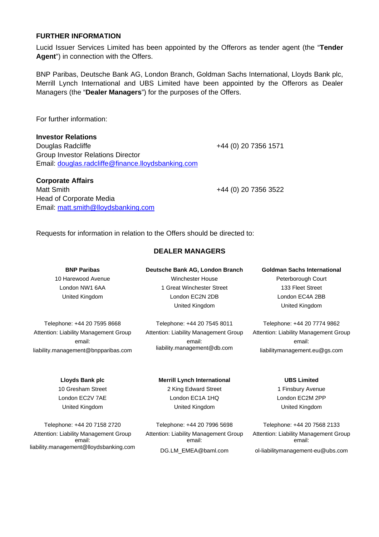#### **FURTHER INFORMATION**

Lucid Issuer Services Limited has been appointed by the Offerors as tender agent (the "**Tender Agent**") in connection with the Offers.

BNP Paribas, Deutsche Bank AG, London Branch, Goldman Sachs International, Lloyds Bank plc, Merrill Lynch International and UBS Limited have been appointed by the Offerors as Dealer Managers (the "**Dealer Managers**") for the purposes of the Offers.

For further information:

**Investor Relations**  Douglas Radcliffe **+44** (0) 20 7356 1571 Group Investor Relations Director Email: douglas.radcliffe@finance.lloydsbanking.com

**Corporate Affairs** 

Matt Smith +44 (0) 20 7356 3522 Head of Corporate Media Email: matt.smith@lloydsbanking.com

Requests for information in relation to the Offers should be directed to:

# **DEALER MANAGERS**

**BNP Paribas**  10 Harewood Avenue London NW1 6AA United Kingdom

**Deutsche Bank AG, London Branch**  Winchester House 1 Great Winchester Street London EC2N 2DB United Kingdom

Telephone: +44 20 7595 8668 Attention: Liability Management Group email: liability.management@bnpparibas.com

Telephone: +44 20 7545 8011 Attention: Liability Management Group email: liability.management@db.com

**Goldman Sachs International**  Peterborough Court 133 Fleet Street London EC4A 2BB United Kingdom

Telephone: +44 20 7774 9862 Attention: Liability Management Group email: liabilitymanagement.eu@gs.com

**Lloyds Bank plc**  10 Gresham Street London EC2V 7AE United Kingdom

Telephone: +44 20 7158 2720 Attention: Liability Management Group email: liability.management@lloydsbanking.com **Merrill Lynch International**  2 King Edward Street London EC1A 1HQ United Kingdom

Telephone: +44 20 7996 5698 Attention: Liability Management Group email: DG.LM\_EMEA@baml.com

**UBS Limited**  1 Finsbury Avenue London EC2M 2PP United Kingdom

Telephone: +44 20 7568 2133 Attention: Liability Management Group email: ol-liabilitymanagement-eu@ubs.com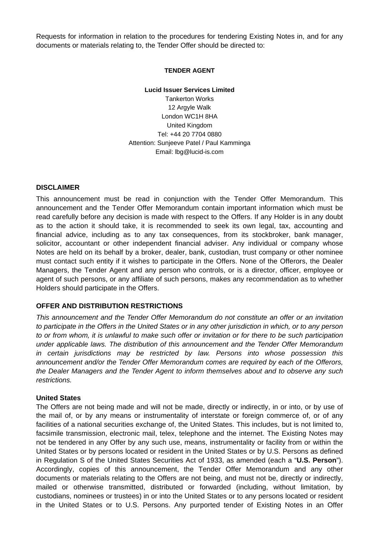Requests for information in relation to the procedures for tendering Existing Notes in, and for any documents or materials relating to, the Tender Offer should be directed to:

### **TENDER AGENT**

#### **Lucid Issuer Services Limited**

Tankerton Works 12 Argyle Walk London WC1H 8HA United Kingdom Tel: +44 20 7704 0880 Attention: Sunjeeve Patel / Paul Kamminga Email: lbg@lucid-is.com

### **DISCLAIMER**

This announcement must be read in conjunction with the Tender Offer Memorandum. This announcement and the Tender Offer Memorandum contain important information which must be read carefully before any decision is made with respect to the Offers. If any Holder is in any doubt as to the action it should take, it is recommended to seek its own legal, tax, accounting and financial advice, including as to any tax consequences, from its stockbroker, bank manager, solicitor, accountant or other independent financial adviser. Any individual or company whose Notes are held on its behalf by a broker, dealer, bank, custodian, trust company or other nominee must contact such entity if it wishes to participate in the Offers. None of the Offerors, the Dealer Managers, the Tender Agent and any person who controls, or is a director, officer, employee or agent of such persons, or any affiliate of such persons, makes any recommendation as to whether Holders should participate in the Offers.

# **OFFER AND DISTRIBUTION RESTRICTIONS**

*This announcement and the Tender Offer Memorandum do not constitute an offer or an invitation to participate in the Offers in the United States or in any other jurisdiction in which, or to any person to or from whom, it is unlawful to make such offer or invitation or for there to be such participation under applicable laws. The distribution of this announcement and the Tender Offer Memorandum in certain jurisdictions may be restricted by law. Persons into whose possession this announcement and/or the Tender Offer Memorandum comes are required by each of the Offerors, the Dealer Managers and the Tender Agent to inform themselves about and to observe any such restrictions.* 

#### **United States**

The Offers are not being made and will not be made, directly or indirectly, in or into, or by use of the mail of, or by any means or instrumentality of interstate or foreign commerce of, or of any facilities of a national securities exchange of, the United States. This includes, but is not limited to, facsimile transmission, electronic mail, telex, telephone and the internet. The Existing Notes may not be tendered in any Offer by any such use, means, instrumentality or facility from or within the United States or by persons located or resident in the United States or by U.S. Persons as defined in Regulation S of the United States Securities Act of 1933, as amended (each a "**U.S. Person**"). Accordingly, copies of this announcement, the Tender Offer Memorandum and any other documents or materials relating to the Offers are not being, and must not be, directly or indirectly, mailed or otherwise transmitted, distributed or forwarded (including, without limitation, by custodians, nominees or trustees) in or into the United States or to any persons located or resident in the United States or to U.S. Persons. Any purported tender of Existing Notes in an Offer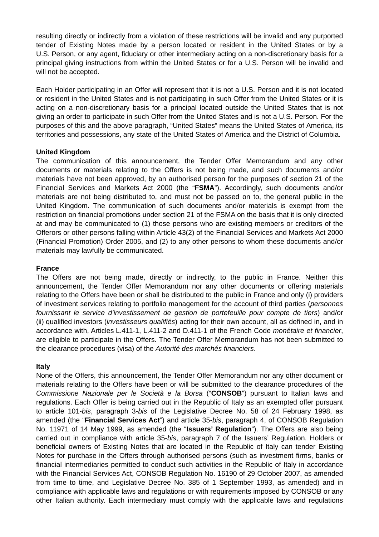resulting directly or indirectly from a violation of these restrictions will be invalid and any purported tender of Existing Notes made by a person located or resident in the United States or by a U.S. Person, or any agent, fiduciary or other intermediary acting on a non-discretionary basis for a principal giving instructions from within the United States or for a U.S. Person will be invalid and will not be accepted.

Each Holder participating in an Offer will represent that it is not a U.S. Person and it is not located or resident in the United States and is not participating in such Offer from the United States or it is acting on a non-discretionary basis for a principal located outside the United States that is not giving an order to participate in such Offer from the United States and is not a U.S. Person. For the purposes of this and the above paragraph, "United States" means the United States of America, its territories and possessions, any state of the United States of America and the District of Columbia.

# **United Kingdom**

The communication of this announcement, the Tender Offer Memorandum and any other documents or materials relating to the Offers is not being made, and such documents and/or materials have not been approved, by an authorised person for the purposes of section 21 of the Financial Services and Markets Act 2000 (the "**FSMA**"). Accordingly, such documents and/or materials are not being distributed to, and must not be passed on to, the general public in the United Kingdom. The communication of such documents and/or materials is exempt from the restriction on financial promotions under section 21 of the FSMA on the basis that it is only directed at and may be communicated to (1) those persons who are existing members or creditors of the Offerors or other persons falling within Article 43(2) of the Financial Services and Markets Act 2000 (Financial Promotion) Order 2005, and (2) to any other persons to whom these documents and/or materials may lawfully be communicated.

# **France**

The Offers are not being made, directly or indirectly, to the public in France. Neither this announcement, the Tender Offer Memorandum nor any other documents or offering materials relating to the Offers have been or shall be distributed to the public in France and only (i) providers of investment services relating to portfolio management for the account of third parties (*personnes fournissant le service d'investissement de gestion de portefeuille pour compte de tiers*) and/or (ii) qualified investors (*investisseurs qualifiés*) acting for their own account, all as defined in, and in accordance with, Articles L.411-1, L.411-2 and D.411-1 of the French Code *monétaire et financier*, are eligible to participate in the Offers. The Tender Offer Memorandum has not been submitted to the clearance procedures (visa) of the *Autorité des marchés financiers*.

# **Italy**

None of the Offers, this announcement, the Tender Offer Memorandum nor any other document or materials relating to the Offers have been or will be submitted to the clearance procedures of the *Commissione Nazionale per le Società e la Borsa* ("**CONSOB**") pursuant to Italian laws and regulations. Each Offer is being carried out in the Republic of Italy as an exempted offer pursuant to article 101-*bis*, paragraph 3-*bis* of the Legislative Decree No. 58 of 24 February 1998, as amended (the "**Financial Services Act**") and article 35-*bis*, paragraph 4, of CONSOB Regulation No. 11971 of 14 May 1999, as amended (the "**Issuers' Regulation**"). The Offers are also being carried out in compliance with article 35-*bis*, paragraph 7 of the Issuers' Regulation. Holders or beneficial owners of Existing Notes that are located in the Republic of Italy can tender Existing Notes for purchase in the Offers through authorised persons (such as investment firms, banks or financial intermediaries permitted to conduct such activities in the Republic of Italy in accordance with the Financial Services Act, CONSOB Regulation No. 16190 of 29 October 2007, as amended from time to time, and Legislative Decree No. 385 of 1 September 1993, as amended) and in compliance with applicable laws and regulations or with requirements imposed by CONSOB or any other Italian authority. Each intermediary must comply with the applicable laws and regulations